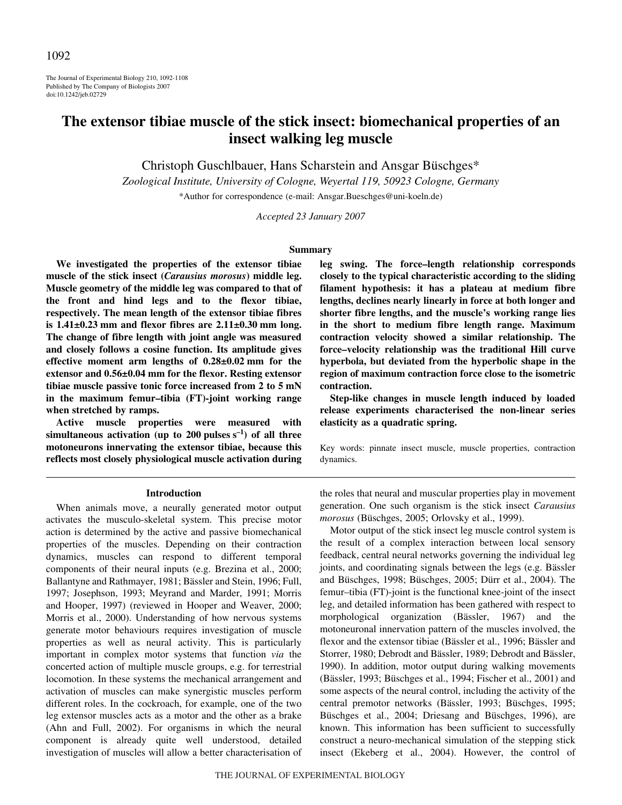The Journal of Experimental Biology 210, 1092-1108 Published by The Company of Biologists 2007 doi:10.1242/jeb.02729

# **The extensor tibiae muscle of the stick insect: biomechanical properties of an insect walking leg muscle**

Christoph Guschlbauer, Hans Scharstein and Ansgar Büschges\*

*Zoological Institute, University of Cologne, Weyertal 119, 50923 Cologne, Germany*

\*Author for correspondence (e-mail: Ansgar.Bueschges@uni-koeln.de)

*Accepted 23 January 2007*

#### **Summary**

**We investigated the properties of the extensor tibiae muscle of the stick insect (***Carausius morosus***) middle leg. Muscle geometry of the middle leg was compared to that of the front and hind legs and to the flexor tibiae, respectively. The mean length of the extensor tibiae fibres** is  $1.41\pm0.23$  mm and flexor fibres are  $2.11\pm0.30$  mm long. **The change of fibre length with joint angle was measured and closely follows a cosine function. Its amplitude gives** effective moment arm lengths of  $0.28\pm0.02$  mm for the extensor and  $0.56\pm0.04$  mm for the flexor. Resting extensor **tibiae muscle passive tonic force increased from 2 to 5 mN in the maximum femur–tibia (FT)-joint working range when stretched by ramps.**

**Active muscle properties were measured with** simultaneous activation (up to  $200$  pulses  $s^{-1}$ ) of all three **motoneurons innervating the extensor tibiae, because this reflects most closely physiological muscle activation during** **leg swing. The force–length relationship corresponds closely to the typical characteristic according to the sliding filament hypothesis: it has a plateau at medium fibre lengths, declines nearly linearly in force at both longer and shorter fibre lengths, and the muscle's working range lies in the short to medium fibre length range. Maximum contraction velocity showed a similar relationship. The force–velocity relationship was the traditional Hill curve hyperbola, but deviated from the hyperbolic shape in the region of maximum contraction force close to the isometric contraction.**

**Step-like changes in muscle length induced by loaded release experiments characterised the non-linear series elasticity as a quadratic spring.**

Key words: pinnate insect muscle, muscle properties, contraction dynamics.

#### **Introduction**

When animals move, a neurally generated motor output activates the musculo-skeletal system. This precise motor action is determined by the active and passive biomechanical properties of the muscles. Depending on their contraction dynamics, muscles can respond to different temporal components of their neural inputs (e.g. Brezina et al., 2000; Ballantyne and Rathmayer, 1981; Bässler and Stein, 1996; Full, 1997; Josephson, 1993; Meyrand and Marder, 1991; Morris and Hooper, 1997) (reviewed in Hooper and Weaver, 2000; Morris et al., 2000). Understanding of how nervous systems generate motor behaviours requires investigation of muscle properties as well as neural activity. This is particularly important in complex motor systems that function *via* the concerted action of multiple muscle groups, e.g. for terrestrial locomotion. In these systems the mechanical arrangement and activation of muscles can make synergistic muscles perform different roles. In the cockroach, for example, one of the two leg extensor muscles acts as a motor and the other as a brake (Ahn and Full, 2002). For organisms in which the neural component is already quite well understood, detailed investigation of muscles will allow a better characterisation of the roles that neural and muscular properties play in movement generation. One such organism is the stick insect *Carausius morosus* (Büschges, 2005; Orlovsky et al., 1999).

Motor output of the stick insect leg muscle control system is the result of a complex interaction between local sensory feedback, central neural networks governing the individual leg joints, and coordinating signals between the legs (e.g. Bässler and Büschges, 1998; Büschges, 2005; Dürr et al., 2004). The femur–tibia (FT)-joint is the functional knee-joint of the insect leg, and detailed information has been gathered with respect to morphological organization (Bässler, 1967) and the motoneuronal innervation pattern of the muscles involved, the flexor and the extensor tibiae (Bässler et al., 1996; Bässler and Storrer, 1980; Debrodt and Bässler, 1989; Debrodt and Bässler, 1990). In addition, motor output during walking movements (Bässler, 1993; Büschges et al., 1994; Fischer et al., 2001) and some aspects of the neural control, including the activity of the central premotor networks (Bässler, 1993; Büschges, 1995; Büschges et al., 2004; Driesang and Büschges, 1996), are known. This information has been sufficient to successfully construct a neuro-mechanical simulation of the stepping stick insect (Ekeberg et al., 2004). However, the control of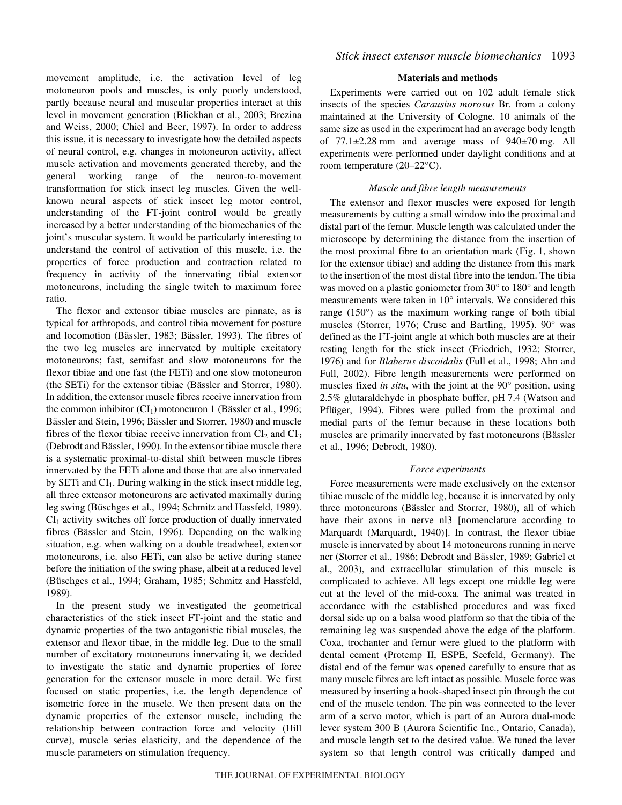movement amplitude, i.e. the activation level of leg motoneuron pools and muscles, is only poorly understood, partly because neural and muscular properties interact at this level in movement generation (Blickhan et al., 2003; Brezina and Weiss, 2000; Chiel and Beer, 1997). In order to address this issue, it is necessary to investigate how the detailed aspects of neural control, e.g. changes in motoneuron activity, affect muscle activation and movements generated thereby, and the general working range of the neuron-to-movement transformation for stick insect leg muscles. Given the wellknown neural aspects of stick insect leg motor control, understanding of the FT-joint control would be greatly increased by a better understanding of the biomechanics of the joint's muscular system. It would be particularly interesting to understand the control of activation of this muscle, i.e. the properties of force production and contraction related to frequency in activity of the innervating tibial extensor motoneurons, including the single twitch to maximum force ratio.

The flexor and extensor tibiae muscles are pinnate, as is typical for arthropods, and control tibia movement for posture and locomotion (Bässler, 1983; Bässler, 1993). The fibres of the two leg muscles are innervated by multiple excitatory motoneurons; fast, semifast and slow motoneurons for the flexor tibiae and one fast (the FETi) and one slow motoneuron (the SETi) for the extensor tibiae (Bässler and Storrer, 1980). In addition, the extensor muscle fibres receive innervation from the common inhibitor  $(Cl<sub>1</sub>)$  motoneuron 1 (Bässler et al., 1996; Bässler and Stein, 1996; Bässler and Storrer, 1980) and muscle fibres of the flexor tibiae receive innervation from  $CI_2$  and  $CI_3$ (Debrodt and Bässler, 1990). In the extensor tibiae muscle there is a systematic proximal-to-distal shift between muscle fibres innervated by the FETi alone and those that are also innervated by SETi and  $CI<sub>1</sub>$ . During walking in the stick insect middle leg, all three extensor motoneurons are activated maximally during leg swing (Büschges et al., 1994; Schmitz and Hassfeld, 1989).  $CI<sub>1</sub>$  activity switches off force production of dually innervated fibres (Bässler and Stein, 1996). Depending on the walking situation, e.g. when walking on a double treadwheel, extensor motoneurons, i.e. also FETi, can also be active during stance before the initiation of the swing phase, albeit at a reduced level (Büschges et al., 1994; Graham, 1985; Schmitz and Hassfeld, 1989).

In the present study we investigated the geometrical characteristics of the stick insect FT-joint and the static and dynamic properties of the two antagonistic tibial muscles, the extensor and flexor tibae, in the middle leg. Due to the small number of excitatory motoneurons innervating it, we decided to investigate the static and dynamic properties of force generation for the extensor muscle in more detail. We first focused on static properties, i.e. the length dependence of isometric force in the muscle. We then present data on the dynamic properties of the extensor muscle, including the relationship between contraction force and velocity (Hill curve), muscle series elasticity, and the dependence of the muscle parameters on stimulation frequency.

## **Materials and methods**

Experiments were carried out on 102 adult female stick insects of the species *Carausius morosus* Br. from a colony maintained at the University of Cologne. 10 animals of the same size as used in the experiment had an average body length of  $77.1 \pm 2.28$  mm and average mass of  $940 \pm 70$  mg. All experiments were performed under daylight conditions and at room temperature (20–22°C).

## *Muscle and fibre length measurements*

The extensor and flexor muscles were exposed for length measurements by cutting a small window into the proximal and distal part of the femur. Muscle length was calculated under the microscope by determining the distance from the insertion of the most proximal fibre to an orientation mark (Fig. 1, shown for the extensor tibiae) and adding the distance from this mark to the insertion of the most distal fibre into the tendon. The tibia was moved on a plastic goniometer from 30° to 180° and length measurements were taken in 10° intervals. We considered this range (150°) as the maximum working range of both tibial muscles (Storrer, 1976; Cruse and Bartling, 1995). 90° was defined as the FT-joint angle at which both muscles are at their resting length for the stick insect (Friedrich, 1932; Storrer, 1976) and for *Blaberus discoidalis* (Full et al., 1998; Ahn and Full, 2002). Fibre length measurements were performed on muscles fixed *in situ*, with the joint at the 90° position, using 2.5% glutaraldehyde in phosphate buffer, pH 7.4 (Watson and Pflüger, 1994). Fibres were pulled from the proximal and medial parts of the femur because in these locations both muscles are primarily innervated by fast motoneurons (Bässler et al., 1996; Debrodt, 1980).

# *Force experiments*

Force measurements were made exclusively on the extensor tibiae muscle of the middle leg, because it is innervated by only three motoneurons (Bässler and Storrer, 1980), all of which have their axons in nerve nl3 [nomenclature according to Marquardt (Marquardt, 1940)]. In contrast, the flexor tibiae muscle is innervated by about 14 motoneurons running in nerve ncr (Storrer et al., 1986; Debrodt and Bässler, 1989; Gabriel et al., 2003), and extracellular stimulation of this muscle is complicated to achieve. All legs except one middle leg were cut at the level of the mid-coxa. The animal was treated in accordance with the established procedures and was fixed dorsal side up on a balsa wood platform so that the tibia of the remaining leg was suspended above the edge of the platform. Coxa, trochanter and femur were glued to the platform with dental cement (Protemp II, ESPE, Seefeld, Germany). The distal end of the femur was opened carefully to ensure that as many muscle fibres are left intact as possible. Muscle force was measured by inserting a hook-shaped insect pin through the cut end of the muscle tendon. The pin was connected to the lever arm of a servo motor, which is part of an Aurora dual-mode lever system 300 B (Aurora Scientific Inc., Ontario, Canada), and muscle length set to the desired value. We tuned the lever system so that length control was critically damped and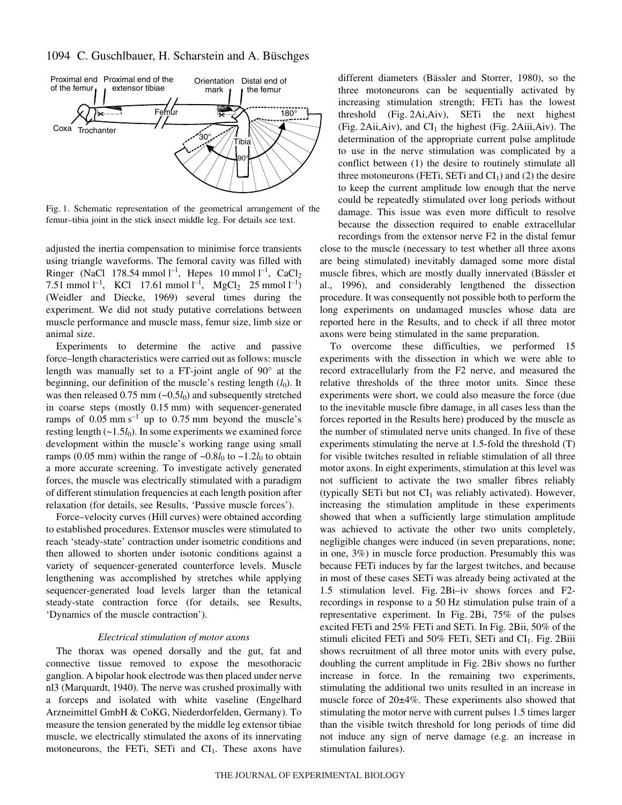# 1094 C. Guschlbauer, H. Scharstein and A. Büschges



Fig. 1. Schematic representation of the geometrical arrangement of the femur–tibia joint in the stick insect middle leg. For details see text.

adjusted the inertia compensation to minimise force transients using triangle waveforms. The femoral cavity was filled with Ringer (NaCl 178.54 mmol  $l^{-1}$ , Hepes 10 mmol  $l^{-1}$ , CaCl<sub>2</sub> 7.51 mmol  $l^{-1}$ , KCl 17.61 mmol  $l^{-1}$ , MgCl<sub>2</sub> 25 mmol  $l^{-1}$ ) (Weidler and Diecke, 1969) several times during the experiment. We did not study putative correlations between muscle performance and muscle mass, femur size, limb size or animal size.

Experiments to determine the active and passive force–length characteristics were carried out as follows: muscle length was manually set to a FT-joint angle of 90° at the beginning, our definition of the muscle's resting length  $(l_0)$ . It was then released  $0.75$  mm ( $\sim 0.5$ *l*<sub>0</sub>) and subsequently stretched in coarse steps (mostly  $0.15$  mm) with sequencer-generated ramps of  $0.05$  mm s<sup>-1</sup> up to  $0.75$  mm beyond the muscle's resting length  $(-1.5l_0)$ . In some experiments we examined force development within the muscle's working range using small ramps (0.05 mm) within the range of  $\sim 0.8l_0$  to  $\sim 1.2l_0$  to obtain a more accurate screening. To investigate actively generated forces, the muscle was electrically stimulated with a paradigm of different stimulation frequencies at each length position after relaxation (for details, see Results, 'Passive muscle forces').

Force–velocity curves (Hill curves) were obtained according to established procedures. Extensor muscles were stimulated to reach 'steady-state' contraction under isometric conditions and then allowed to shorten under isotonic conditions against a variety of sequencer-generated counterforce levels. Muscle lengthening was accomplished by stretches while applying sequencer-generated load levels larger than the tetanical steady-state contraction force (for details, see Results, 'Dynamics of the muscle contraction').

#### *Electrical stimulation of motor axons*

The thorax was opened dorsally and the gut, fat and connective tissue removed to expose the mesothoracic ganglion. A bipolar hook electrode was then placed under nerve nl3 (Marquardt, 1940). The nerve was crushed proximally with a forceps and isolated with white vaseline (Engelhard Arzneimittel GmbH & CoKG, Niederdorfelden, Germany). To measure the tension generated by the middle leg extensor tibiae muscle, we electrically stimulated the axons of its innervating motoneurons, the FETi, SETi and  $CI<sub>1</sub>$ . These axons have different diameters (Bässler and Storrer, 1980), so the three motoneurons can be sequentially activated by increasing stimulation strength; FETi has the lowest threshold  $(Fig. 2Ai, Aiv)$ , SETi the next highest (Fig. 2Aii,Aiv), and  $CI_1$  the highest (Fig. 2Aiii,Aiv). The determination of the appropriate current pulse amplitude to use in the nerve stimulation was complicated by a conflict between (1) the desire to routinely stimulate all three motoneurons (FETi, SETi and  $CI<sub>1</sub>$ ) and (2) the desire to keep the current amplitude low enough that the nerve could be repeatedly stimulated over long periods without damage. This issue was even more difficult to resolve because the dissection required to enable extracellular

recordings from the extensor nerve F2 in the distal femur close to the muscle (necessary to test whether all three axons are being stimulated) inevitably damaged some more distal muscle fibres, which are mostly dually innervated (Bässler et al., 1996), and considerably lengthened the dissection procedure. It was consequently not possible both to perform the long experiments on undamaged muscles whose data are reported here in the Results, and to check if all three motor axons were being stimulated in the same preparation.

To overcome these difficulties, we performed 15 experiments with the dissection in which we were able to record extracellularly from the F2 nerve, and measured the relative thresholds of the three motor units. Since these experiments were short, we could also measure the force (due to the inevitable muscle fibre damage, in all cases less than the forces reported in the Results here) produced by the muscle as the number of stimulated nerve units changed. In five of these experiments stimulating the nerve at 1.5-fold the threshold (T) for visible twitches resulted in reliable stimulation of all three motor axons. In eight experiments, stimulation at this level was not sufficient to activate the two smaller fibres reliably (typically SETi but not  $CI_1$  was reliably activated). However, increasing the stimulation amplitude in these experiments showed that when a sufficiently large stimulation amplitude was achieved to activate the other two units completely, negligible changes were induced (in seven preparations, none; in one, 3%) in muscle force production. Presumably this was because FETi induces by far the largest twitches, and because in most of these cases SETi was already being activated at the 1.5 stimulation level. Fig.  $2Bi$ -iv shows forces and F2recordings in response to a 50 Hz stimulation pulse train of a representative experiment. In Fig. 2Bi, 75% of the pulses excited FETi and  $25\%$  FETi and SETi. In Fig. 2Bii,  $50\%$  of the stimuli elicited FETi and  $50\%$  FETi, SETi and CI<sub>1</sub>. Fig. 2Biii shows recruitment of all three motor units with every pulse, doubling the current amplitude in Fig. 2Biv shows no further increase in force. In the remaining two experiments, stimulating the additional two units resulted in an increase in muscle force of 20±4%. These experiments also showed that stimulating the motor nerve with current pulses 1.5 times larger than the visible twitch threshold for long periods of time did not induce any sign of nerve damage (e.g. an increase in stimulation failures).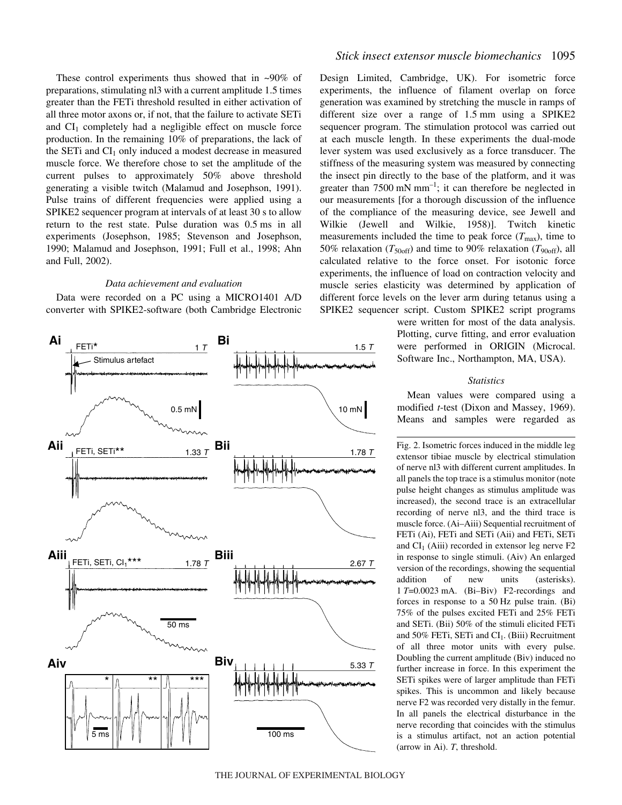These control experiments thus showed that in  $\sim 90\%$  of preparations, stimulating nl3 with a current amplitude 1.5 times greater than the FETi threshold resulted in either activation of all three motor axons or, if not, that the failure to activate SETi and  $CI<sub>1</sub>$  completely had a negligible effect on muscle force production. In the remaining 10% of preparations, the lack of the SETi and  $CI<sub>1</sub>$  only induced a modest decrease in measured muscle force. We therefore chose to set the amplitude of the current pulses to approximately 50% above threshold generating a visible twitch (Malamud and Josephson, 1991). Pulse trains of different frequencies were applied using a SPIKE2 sequencer program at intervals of at least 30 s to allow return to the rest state. Pulse duration was  $0.5 \text{ ms}$  in all experiments (Josephson, 1985; Stevenson and Josephson, 1990; Malamud and Josephson, 1991; Full et al., 1998; Ahn and Full, 2002).

#### *Data achievement and evaluation*

Data were recorded on a PC using a MICRO1401 A/D converter with SPIKE2-software (both Cambridge Electronic



## *Stick insect extensor muscle biomechanics* 1095

Design Limited, Cambridge, UK). For isometric force experiments, the influence of filament overlap on force generation was examined by stretching the muscle in ramps of different size over a range of  $1.5 \text{ mm}$  using a SPIKE2 sequencer program. The stimulation protocol was carried out at each muscle length. In these experiments the dual-mode lever system was used exclusively as a force transducer. The stiffness of the measuring system was measured by connecting the insect pin directly to the base of the platform, and it was greater than  $7500$  mN mm<sup>-1</sup>; it can therefore be neglected in our measurements [for a thorough discussion of the influence of the compliance of the measuring device, see Jewell and Wilkie (Jewell and Wilkie, 1958)]. Twitch kinetic measurements included the time to peak force  $(T_{\text{max}})$ , time to 50% relaxation ( $T_{\text{50off}}$ ) and time to 90% relaxation ( $T_{\text{90off}}$ ), all calculated relative to the force onset. For isotonic force experiments, the influence of load on contraction velocity and muscle series elasticity was determined by application of different force levels on the lever arm during tetanus using a SPIKE2 sequencer script. Custom SPIKE2 script programs

> were written for most of the data analysis. Plotting, curve fitting, and error evaluation were performed in ORIGIN (Microcal. Software Inc., Northampton, MA, USA).

## *Statistics*

Mean values were compared using a modified *t*-test (Dixon and Massey, 1969). Means and samples were regarded as

Fig. 2. Isometric forces induced in the middle leg extensor tibiae muscle by electrical stimulation of nerve nl3 with different current amplitudes. In all panels the top trace is a stimulus monitor (note pulse height changes as stimulus amplitude was increased), the second trace is an extracellular recording of nerve nl3, and the third trace is muscle force. (Ai–Aiii) Sequential recruitment of FETi (Ai), FETi and SETi (Aii) and FETi, SETi and  $CI_1$  (Aiii) recorded in extensor leg nerve F2 in response to single stimuli. (Aiv) An enlarged version of the recordings, showing the sequential addition of new units (asterisks). 1·*T*=0.0023·mA. (Bi–Biv) F2-recordings and forces in response to a  $50$  Hz pulse train. (Bi) 75% of the pulses excited FETi and 25% FETi and SETi. (Bii) 50% of the stimuli elicited FETi and  $50\%$  FETi, SETi and CI<sub>1</sub>. (Biii) Recruitment of all three motor units with every pulse. Doubling the current amplitude (Biv) induced no further increase in force. In this experiment the SETi spikes were of larger amplitude than FETi spikes. This is uncommon and likely because nerve F2 was recorded very distally in the femur. In all panels the electrical disturbance in the nerve recording that coincides with the stimulus is a stimulus artifact, not an action potential (arrow in Ai). *T*, threshold.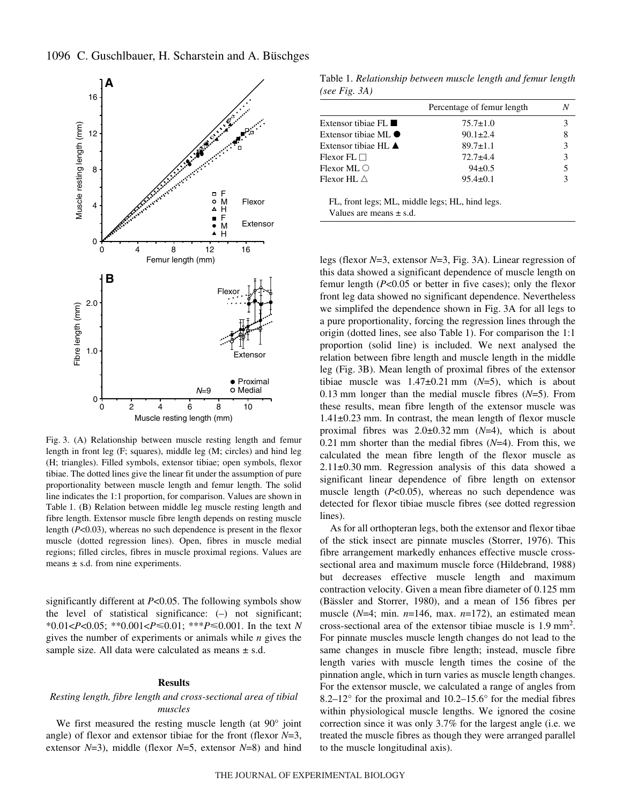

Fig. 3. (A) Relationship between muscle resting length and femur length in front leg (F; squares), middle leg (M; circles) and hind leg (H; triangles). Filled symbols, extensor tibiae; open symbols, flexor tibiae. The dotted lines give the linear fit under the assumption of pure proportionality between muscle length and femur length. The solid line indicates the 1:1 proportion, for comparison. Values are shown in Table 1. (B) Relation between middle leg muscle resting length and fibre length. Extensor muscle fibre length depends on resting muscle length (*P*<0.03), whereas no such dependence is present in the flexor muscle (dotted regression lines). Open, fibres in muscle medial regions; filled circles, fibres in muscle proximal regions. Values are means  $\pm$  s.d. from nine experiments.

significantly different at *P*<0.05. The following symbols show the level of statistical significance: (–) not significant; \*0.01<*P*<0.05; \*\*0.001<*P*-0.01; \*\*\**P*-0.001. In the text *N* gives the number of experiments or animals while *n* gives the sample size. All data were calculated as means  $\pm$  s.d.

#### **Results**

# *Resting length, fibre length and cross-sectional area of tibial muscles*

We first measured the resting muscle length (at 90° joint angle) of flexor and extensor tibiae for the front (flexor *N*=3, extensor *N*=3), middle (flexor *N*=5, extensor *N*=8) and hind

Table 1. *Relationship between muscle length and femur length (see Fig. 3A)* 

|                                       | Percentage of femur length |               |
|---------------------------------------|----------------------------|---------------|
| Extensor tibiae $FI$ .                | $75.7 \pm 1.0$             |               |
| Extensor tibiae ML $\bullet$          | $90.1 \pm 2.4$             | 8             |
| Extensor tibiae $HL$ $\blacktriangle$ | $89.7 \pm 1.1$             | $\mathcal{E}$ |
| $Flexor FL \square$                   | $72.7 + 4.4$               | 3             |
| Flexor ML $\bigcirc$                  | $94\pm0.5$                 | 5             |
| Flexor HL $\wedge$                    | $95.4 \pm 0.1$             |               |
|                                       |                            |               |

FL, front legs; ML, middle legs; HL, hind legs. Values are means  $\pm$  s.d.

legs (flexor *N*=3, extensor *N*=3, Fig. 3A). Linear regression of this data showed a significant dependence of muscle length on femur length (*P*<0.05 or better in five cases); only the flexor front leg data showed no significant dependence. Nevertheless we simplifed the dependence shown in Fig. 3A for all legs to a pure proportionality, forcing the regression lines through the origin (dotted lines, see also Table 1). For comparison the 1:1 proportion (solid line) is included. We next analysed the relation between fibre length and muscle length in the middle leg (Fig. 3B). Mean length of proximal fibres of the extensor tibiae muscle was  $1.47\pm0.21$  mm ( $N=5$ ), which is about 0.13 mm longer than the medial muscle fibres  $(N=5)$ . From these results, mean fibre length of the extensor muscle was  $1.41\pm0.23$  mm. In contrast, the mean length of flexor muscle proximal fibres was  $2.0 \pm 0.32$  mm ( $N=4$ ), which is about 0.21 mm shorter than the medial fibres  $(N=4)$ . From this, we calculated the mean fibre length of the flexor muscle as  $2.11\pm0.30$  mm. Regression analysis of this data showed a significant linear dependence of fibre length on extensor muscle length ( $P<0.05$ ), whereas no such dependence was detected for flexor tibiae muscle fibres (see dotted regression lines).

As for all orthopteran legs, both the extensor and flexor tibae of the stick insect are pinnate muscles (Storrer, 1976). This fibre arrangement markedly enhances effective muscle crosssectional area and maximum muscle force (Hildebrand, 1988) but decreases effective muscle length and maximum contraction velocity. Given a mean fibre diameter of 0.125 mm (Bässler and Storrer, 1980), and a mean of 156 fibres per muscle (*N*=4; min. *n*=146, max. *n*=172), an estimated mean cross-sectional area of the extensor tibiae muscle is  $1.9~\text{mm}^2$ . For pinnate muscles muscle length changes do not lead to the same changes in muscle fibre length; instead, muscle fibre length varies with muscle length times the cosine of the pinnation angle, which in turn varies as muscle length changes. For the extensor muscle, we calculated a range of angles from 8.2–12° for the proximal and 10.2–15.6° for the medial fibres within physiological muscle lengths. We ignored the cosine correction since it was only 3.7% for the largest angle (i.e. we treated the muscle fibres as though they were arranged parallel to the muscle longitudinal axis).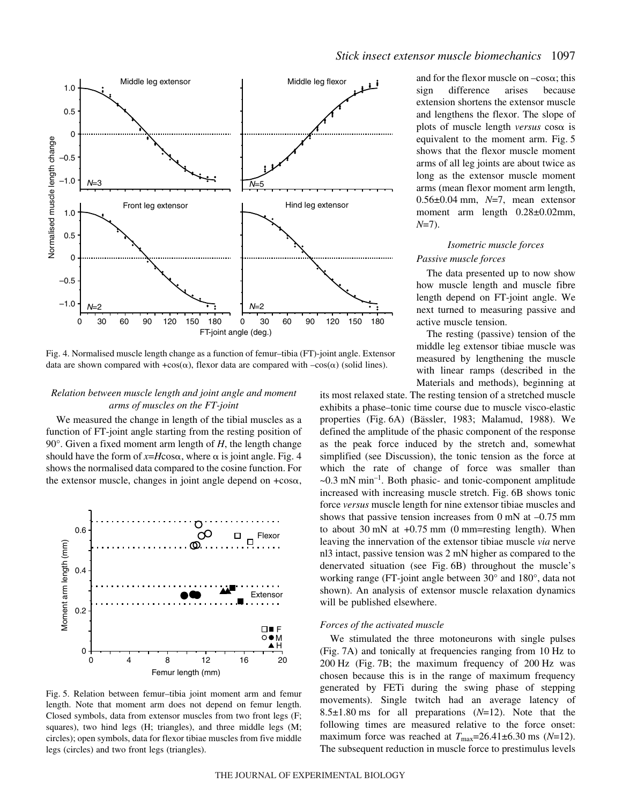

Fig. 4. Normalised muscle length change as a function of femur–tibia (FT)-joint angle. Extensor data are shown compared with +cos( $\alpha$ ), flexor data are compared with  $-\cos(\alpha)$  (solid lines).

#### *Relation between muscle length and joint angle and moment arms of muscles on the FT-joint*

We measured the change in length of the tibial muscles as a function of FT-joint angle starting from the resting position of 90°. Given a fixed moment arm length of *H*, the length change should have the form of  $x=H\cos\alpha$ , where  $\alpha$  is joint angle. Fig. 4 shows the normalised data compared to the cosine function. For the extensor muscle, changes in joint angle depend on  $+\cos\alpha$ ,



Fig. 5. Relation between femur-tibia joint moment arm and femur length. Note that moment arm does not depend on femur length. Closed symbols, data from extensor muscles from two front legs (F; squares), two hind legs (H; triangles), and three middle legs (M; circles); open symbols, data for flexor tibiae muscles from five middle legs (circles) and two front legs (triangles).

and for the flexor muscle on  $-\cos\alpha$ ; this sign difference arises because extension shortens the extensor muscle and lengthens the flexor. The slope of plots of muscle length *versus*  $\cos \alpha$  is equivalent to the moment arm. Fig. 5 shows that the flexor muscle moment arms of all leg joints are about twice as long as the extensor muscle moment arms (mean flexor moment arm length, 0.56±0.04·mm, *N*=7, mean extensor moment arm length 0.28±0.02mm, *N*=7).

# *Isometric muscle forces*

## *Passive muscle forces*

The data presented up to now show how muscle length and muscle fibre length depend on FT-joint angle. We next turned to measuring passive and active muscle tension.

The resting (passive) tension of the middle leg extensor tibiae muscle was measured by lengthening the muscle with linear ramps (described in the Materials and methods), beginning at

its most relaxed state. The resting tension of a stretched muscle exhibits a phase–tonic time course due to muscle visco-elastic properties (Fig. 6A) (Bässler, 1983; Malamud, 1988). We defined the amplitude of the phasic component of the response as the peak force induced by the stretch and, somewhat simplified (see Discussion), the tonic tension as the force at which the rate of change of force was smaller than  $\sim$ 0.3 mN min<sup>-1</sup>. Both phasic- and tonic-component amplitude increased with increasing muscle stretch. Fig. 6B shows tonic force *versus* muscle length for nine extensor tibiae muscles and shows that passive tension increases from  $0 \text{ mN}$  at  $-0.75 \text{ mm}$ to about 30 mN at  $+0.75$  mm (0 mm=resting length). When leaving the innervation of the extensor tibiae muscle *via* nerve nl3 intact, passive tension was 2 mN higher as compared to the denervated situation (see Fig. 6B) throughout the muscle's working range (FT-joint angle between 30° and 180°, data not shown). An analysis of extensor muscle relaxation dynamics will be published elsewhere.

#### *Forces of the activated muscle*

We stimulated the three motoneurons with single pulses (Fig. 7A) and tonically at frequencies ranging from 10 Hz to  $200 \text{ Hz}$  (Fig. 7B; the maximum frequency of  $200 \text{ Hz}$  was chosen because this is in the range of maximum frequency generated by FETi during the swing phase of stepping movements). Single twitch had an average latency of 8.5 $\pm$ 1.80 ms for all preparations ( $N=12$ ). Note that the following times are measured relative to the force onset: maximum force was reached at  $T_{\text{max}}=26.41\pm6.30$  ms ( $N=12$ ). The subsequent reduction in muscle force to prestimulus levels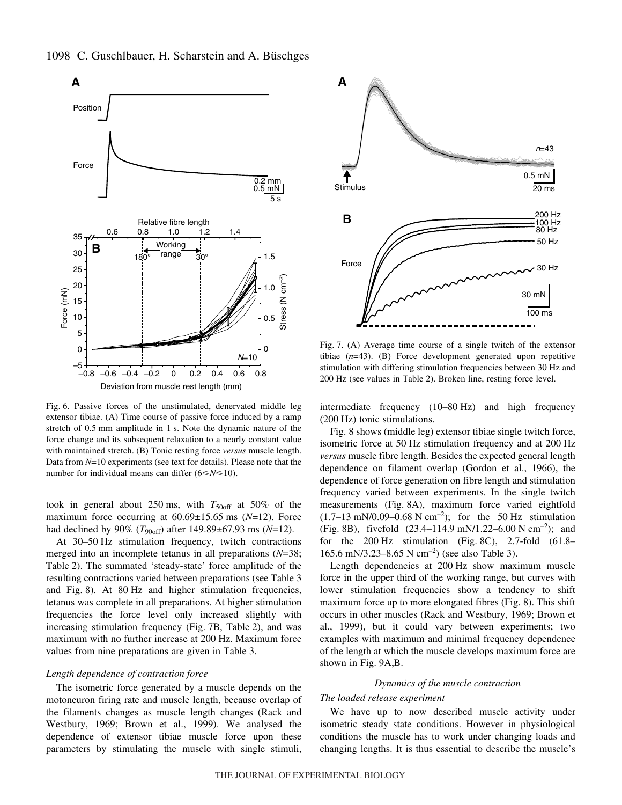

1098 C. Guschlbauer, H. Scharstein and A. Büschges

Fig. 6. Passive forces of the unstimulated, denervated middle leg extensor tibiae. (A) Time course of passive force induced by a ramp stretch of  $0.5$  mm amplitude in 1 s. Note the dynamic nature of the force change and its subsequent relaxation to a nearly constant value with maintained stretch. (B) Tonic resting force *versus* muscle length. Data from *N*=10 experiments (see text for details). Please note that the number for individual means can differ  $(6 \le N \le 10)$ .

took in general about 250 ms, with  $T_{\rm 50off}$  at 50% of the maximum force occurring at  $60.69 \pm 15.65$  ms  $(N=12)$ . Force had declined by 90% (*T*<sub>90off</sub>) after 149.89±67.93 ms (*N*=12).

At 30–50 Hz stimulation frequency, twitch contractions merged into an incomplete tetanus in all preparations (*N*=38; Table 2). The summated 'steady-state' force amplitude of the resulting contractions varied between preparations (see Table 3 and Fig. 8). At 80 Hz and higher stimulation frequencies, tetanus was complete in all preparations. At higher stimulation frequencies the force level only increased slightly with increasing stimulation frequency (Fig.  $7B$ , Table 2), and was maximum with no further increase at 200 Hz. Maximum force values from nine preparations are given in Table 3.

## *Length dependence of contraction force*

The isometric force generated by a muscle depends on the motoneuron firing rate and muscle length, because overlap of the filaments changes as muscle length changes (Rack and Westbury, 1969; Brown et al., 1999). We analysed the dependence of extensor tibiae muscle force upon these parameters by stimulating the muscle with single stimuli,



Fig. 7. (A) Average time course of a single twitch of the extensor tibiae (*n*=43). (B) Force development generated upon repetitive stimulation with differing stimulation frequencies between 30 Hz and 200 Hz (see values in Table 2). Broken line, resting force level.

intermediate frequency  $(10-80 Hz)$  and high frequency  $(200 Hz)$  tonic stimulations.

Fig. 8 shows (middle leg) extensor tibiae single twitch force, isometric force at 50 Hz stimulation frequency and at 200 Hz *versus* muscle fibre length. Besides the expected general length dependence on filament overlap (Gordon et al., 1966), the dependence of force generation on fibre length and stimulation frequency varied between experiments. In the single twitch measurements (Fig. 8A), maximum force varied eightfold  $(1.7-13~\text{mN}/0.09-0.68~\text{N cm}^{-2})$ ; for the 50 Hz stimulation (Fig. 8B), fivefold  $(23.4–114.9~\text{mN}/1.22–6.00~\text{N}~\text{cm}^{-2})$ ; and for the  $200 \text{ Hz}$  stimulation (Fig. 8C), 2.7-fold (61.8– 165.6 mN/3.23–8.65 N cm<sup>-2</sup>) (see also Table 3).

Length dependencies at 200 Hz show maximum muscle force in the upper third of the working range, but curves with lower stimulation frequencies show a tendency to shift maximum force up to more elongated fibres (Fig. 8). This shift occurs in other muscles (Rack and Westbury, 1969; Brown et al., 1999), but it could vary between experiments; two examples with maximum and minimal frequency dependence of the length at which the muscle develops maximum force are shown in Fig. 9A, B.

#### *Dynamics of the muscle contraction*

#### *The loaded release experiment*

We have up to now described muscle activity under isometric steady state conditions. However in physiological conditions the muscle has to work under changing loads and changing lengths. It is thus essential to describe the muscle's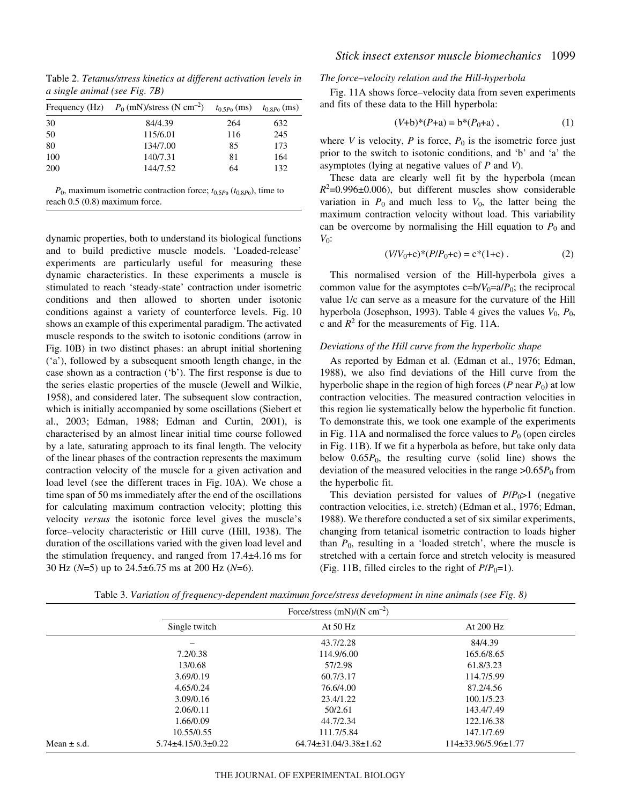Table 2. *Tetanus/stress kinetics at different activation levels in a single animal (see Fig. 7B)* 

|     | Frequency (Hz) $P_0$ (mN)/stress (N cm <sup>-2</sup> ) | $t_{0.5P_0}$ (ms) | $t_{0.8P_0}$ (ms) |
|-----|--------------------------------------------------------|-------------------|-------------------|
| 30  | 84/4.39                                                | 264               | 632               |
| 50  | 115/6.01                                               | 116               | 245               |
| 80  | 134/7.00                                               | 85                | 173               |
| 100 | 140/7.31                                               | 81                | 164               |
| 200 | 144/7.52                                               | 64                | 132               |
|     |                                                        |                   |                   |

 $P_0$ , maximum isometric contraction force;  $t_{0.5}P_0$  ( $t_{0.8}P_0$ ), time to reach 0.5 (0.8) maximum force.

dynamic properties, both to understand its biological functions and to build predictive muscle models. 'Loaded-release' experiments are particularly useful for measuring these dynamic characteristics. In these experiments a muscle is stimulated to reach 'steady-state' contraction under isometric conditions and then allowed to shorten under isotonic conditions against a variety of counterforce levels. Fig. 10 shows an example of this experimental paradigm. The activated muscle responds to the switch to isotonic conditions (arrow in Fig. 10B) in two distinct phases: an abrupt initial shortening ('a'), followed by a subsequent smooth length change, in the case shown as a contraction ('b'). The first response is due to the series elastic properties of the muscle (Jewell and Wilkie, 1958), and considered later. The subsequent slow contraction, which is initially accompanied by some oscillations (Siebert et al., 2003; Edman, 1988; Edman and Curtin, 2001), is characterised by an almost linear initial time course followed by a late, saturating approach to its final length. The velocity of the linear phases of the contraction represents the maximum contraction velocity of the muscle for a given activation and load level (see the different traces in Fig. 10A). We chose a time span of 50 ms immediately after the end of the oscillations for calculating maximum contraction velocity; plotting this velocity *versus* the isotonic force level gives the muscle's force–velocity characteristic or Hill curve (Hill, 1938). The duration of the oscillations varied with the given load level and the stimulation frequency, and ranged from  $17.4\pm4.16$  ms for 30 Hz ( $N=5$ ) up to 24.5 $\pm$ 6.75 ms at 200 Hz ( $N=6$ ).

#### *The force –velocity relation and the Hill-hyperbola*

Fig. 11A shows force-velocity data from seven experiments and fits of these data to the Hill hyperbola:

$$
(V+b)^*(P+a) = b^*(P_0+a) , \qquad (1)
$$

where *V* is velocity, *P* is force,  $P_0$  is the isometric force just prior to the switch to isotonic conditions, and 'b' and 'a' the asymptotes (lying at negative values of *P* and *V*).

These data are clearly well fit by the hyperbola (mean  $R^2$ =0.996 $\pm$ 0.006), but different muscles show considerable variation in  $P_0$  and much less to  $V_0$ , the latter being the maximum contraction velocity without load. This variability can be overcome by normalising the Hill equation to  $P_0$  and *V*0:

$$
(V/V_0 + c)^*(P/P_0 + c) = c^*(1+c).
$$
 (2)

This normalised version of the Hill-hyperbola gives a common value for the asymptotes  $c = b/V_0 = a/P_0$ ; the reciprocal value 1/c can serve as a measure for the curvature of the Hill hyperbola (Josephson, 1993). Table 4 gives the values  $V_0$ ,  $P_0$ , c and  $R^2$  for the measurements of Fig. 11A.

## *Deviations of the Hill curve from the hyperbolic shape*

As reported by Edman et al. (Edman et al., 1976; Edman, 1988), we also find deviations of the Hill curve from the hyperbolic shape in the region of high forces ( $P$  near  $P_0$ ) at low contraction velocities. The measured contraction velocities in this region lie systematically below the hyperbolic fit function. To demonstrate this, we took one example of the experiments in Fig. 11A and normalised the force values to  $P_0$  (open circles in Fig. 11B). If we fit a hyperbola as before, but take only data below  $0.65P_0$ , the resulting curve (solid line) shows the deviation of the measured velocities in the range  $>0.65P_0$  from the hyperbolic fit.

This deviation persisted for values of  $P/P_0 > 1$  (negative contraction velocities, i.e. stretch) (Edman et al., 1976; Edman, 1988). We therefore conducted a set of six similar experiments, changing from tetanical isometric contraction to loads higher than  $P_0$ , resulting in a 'loaded stretch', where the muscle is stretched with a certain force and stretch velocity is measured (Fig. 11B, filled circles to the right of  $P/P_0=1$ ).

|                 |                              | Force/stress $(mN)/(N cm^{-2})$ |                           |
|-----------------|------------------------------|---------------------------------|---------------------------|
|                 | Single twitch                | At $50$ Hz                      | At 200 Hz                 |
|                 |                              | 43.7/2.28                       | 84/4.39                   |
|                 | 7.2/0.38                     | 114.9/6.00                      | 165.6/8.65                |
|                 | 13/0.68                      | 57/2.98                         | 61.8/3.23                 |
|                 | 3.69/0.19                    | 60.7/3.17                       | 114.7/5.99                |
|                 | 4.65/0.24                    | 76.6/4.00                       | 87.2/4.56                 |
|                 | 3.09/0.16                    | 23.4/1.22                       | 100.1/5.23                |
|                 | 2.06/0.11                    | 50/2.61                         | 143.4/7.49                |
|                 | 1.66/0.09                    | 44.7/2.34                       | 122.1/6.38                |
|                 | 10.55/0.55                   | 111.7/5.84                      | 147.1/7.69                |
| Mean $\pm$ s.d. | $5.74 \pm 4.15/0.3 \pm 0.22$ | $64.74 \pm 31.04/3.38 \pm 1.62$ | $114\pm33.96/5.96\pm1.77$ |

Table 3. *Variation of frequency-dependent maximum force/stress development in nine animals (see Fig. 8)*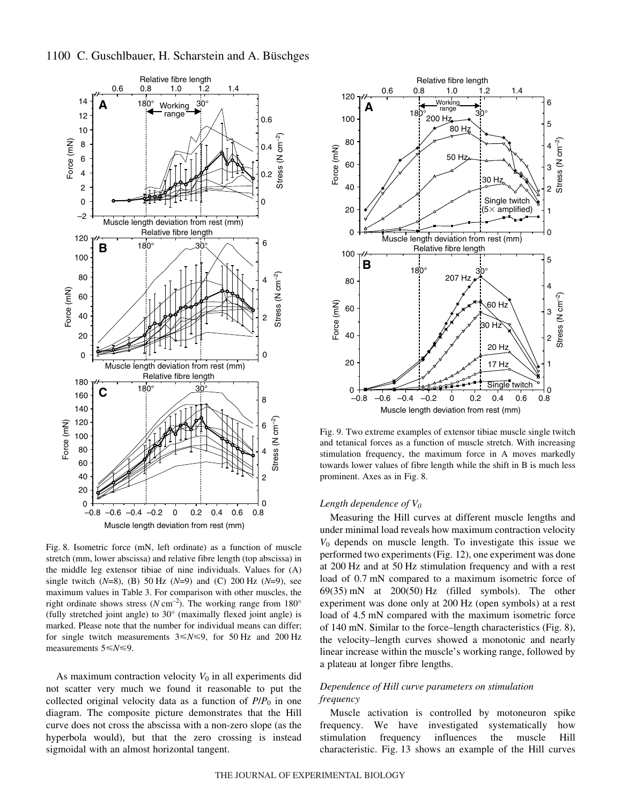

Fig. 8. Isometric force (mN, left ordinate) as a function of muscle stretch (mm, lower abscissa) and relative fibre length (top abscissa) in the middle leg extensor tibiae of nine individuals. Values for (A) single twitch  $(N=8)$ , (B) 50 Hz  $(N=9)$  and (C) 200 Hz  $(N=9)$ , see maximum values in Table 3. For comparison with other muscles, the right ordinate shows stress ( $N \text{ cm}^{-2}$ ). The working range from 180° (fully stretched joint angle) to 30° (maximally flexed joint angle) is marked. Please note that the number for individual means can differ; for single twitch measurements  $3 \le N \le 9$ , for 50 Hz and 200 Hz measurements  $5 \le N \le 9$ .

As maximum contraction velocity  $V_0$  in all experiments did not scatter very much we found it reasonable to put the collected original velocity data as a function of  $P/P_0$  in one diagram. The composite picture demonstrates that the Hill curve does not cross the abscissa with a non-zero slope (as the hyperbola would), but that the zero crossing is instead sigmoidal with an almost horizontal tangent.



Fig. 9. Two extreme examples of extensor tibiae muscle single twitch and tetanical forces as a function of muscle stretch. With increasing stimulation frequency, the maximum force in A moves markedly towards lower values of fibre length while the shift in B is much less prominent. Axes as in Fig. 8.

#### *Length dependence of V0*

Measuring the Hill curves at different muscle lengths and under minimal load reveals how maximum contraction velocity *V*<sup>0</sup> depends on muscle length. To investigate this issue we performed two experiments (Fig. 12), one experiment was done at 200 Hz and at 50 Hz stimulation frequency and with a rest load of 0.7 mN compared to a maximum isometric force of  $69(35)$  mN at  $200(50)$  Hz (filled symbols). The other experiment was done only at 200 Hz (open symbols) at a rest load of 4.5 mN compared with the maximum isometric force of 140 mN. Similar to the force–length characteristics (Fig.  $8$ ), the velocity–length curves showed a monotonic and nearly linear increase within the muscle's working range, followed by a plateau at longer fibre lengths.

## *Dependence of Hill curve parameters on stimulation frequency*

Muscle activation is controlled by motoneuron spike frequency. We have investigated systematically how stimulation frequency influences the muscle Hill characteristic. Fig. 13 shows an example of the Hill curves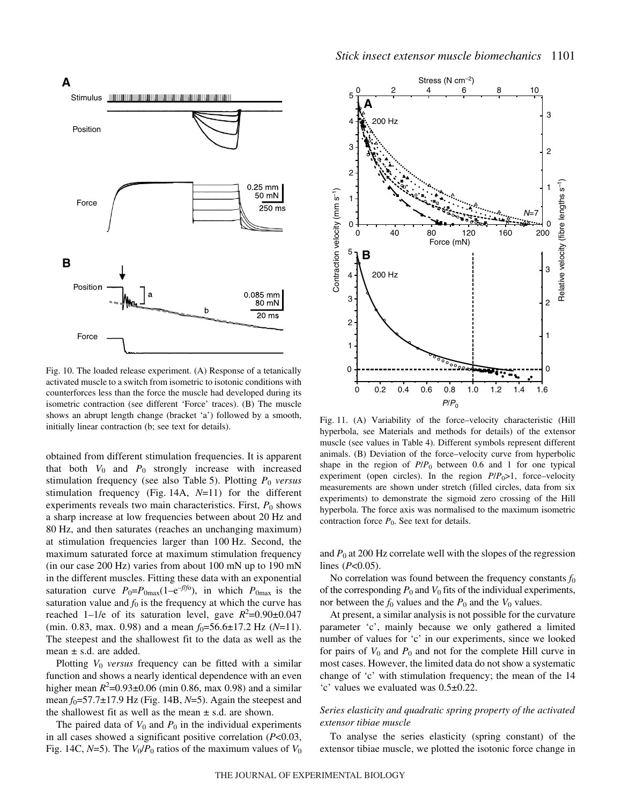# **A**



Fig. 10. The loaded release experiment. (A) Response of a tetanically activated muscle to a switch from isometric to isotonic conditions with counterforces less than the force the muscle had developed during its isometric contraction (see different 'Force' traces). (B) The muscle shows an abrupt length change (bracket 'a') followed by a smooth, initially linear contraction (b; see text for details).

obtained from different stimulation frequencies. It is apparent that both  $V_0$  and  $P_0$  strongly increase with increased stimulation frequency (see also Table 5). Plotting  $P_0$  *versus* stimulation frequency (Fig. 14A,  $N=11$ ) for the different experiments reveals two main characteristics. First,  $P_0$  shows a sharp increase at low frequencies between about 20 Hz and 80 Hz, and then saturates (reaches an unchanging maximum) at stimulation frequencies larger than 100 Hz. Second, the maximum saturated force at maximum stimulation frequency (in our case  $200 \text{ Hz}$ ) varies from about 100 mN up to 190 mN in the different muscles. Fitting these data with an exponential saturation curve  $P_0 = P_{0\text{max}}(1 - e^{-f/\tau_0})$ , in which  $P_{0\text{max}}$  is the saturation value and  $f_0$  is the frequency at which the curve has reached 1–1/e of its saturation level, gave  $R^2$ =0.90 $\pm$ 0.047 (min. 0.83, max. 0.98) and a mean  $f_0 = 56.6 \pm 17.2$  Hz ( $N=11$ ). The steepest and the shallowest fit to the data as well as the mean  $\pm$  s.d. are added.

Plotting *V*<sup>0</sup> *versus* frequency can be fitted with a similar function and shows a nearly identical dependence with an even higher mean  $R^2 = 0.93 \pm 0.06$  (min 0.86, max 0.98) and a similar mean  $f_0$ =57.7 $\pm$ 17.9 Hz (Fig. 14B, *N*=5). Again the steepest and the shallowest fit as well as the mean  $\pm$  s.d. are shown.

The paired data of  $V_0$  and  $P_0$  in the individual experiments in all cases showed a significant positive correlation (*P*<0.03, Fig. 14C,  $N=5$ ). The  $V_0/P_0$  ratios of the maximum values of  $V_0$ 



Fig. 11. (A) Variability of the force-velocity characteristic (Hill hyperbola, see Materials and methods for details) of the extensor muscle (see values in Table 4). Different symbols represent different animals. (B) Deviation of the force–velocity curve from hyperbolic shape in the region of  $P/P_0$  between 0.6 and 1 for one typical experiment (open circles). In the region  $P/P_0 > 1$ , force–velocity measurements are shown under stretch (filled circles, data from six experiments) to demonstrate the sigmoid zero crossing of the Hill hyperbola. The force axis was normalised to the maximum isometric contraction force  $P_0$ . See text for details.

and  $P_0$  at 200 Hz correlate well with the slopes of the regression lines (*P*<0.05).

No correlation was found between the frequency constants  $f_0$ of the corresponding  $P_0$  and  $V_0$  fits of the individual experiments, nor between the  $f_0$  values and the  $P_0$  and the  $V_0$  values.

At present, a similar analysis is not possible for the curvature parameter 'c', mainly because we only gathered a limited number of values for 'c' in our experiments, since we looked for pairs of  $V_0$  and  $P_0$  and not for the complete Hill curve in most cases. However, the limited data do not show a systematic change of 'c' with stimulation frequency; the mean of the 14 'c' values we evaluated was 0.5±0.22.

### *Series elasticity and quadratic spring property of the activated extensor tibiae muscle*

To analyse the series elasticity (spring constant) of the extensor tibiae muscle, we plotted the isotonic force change in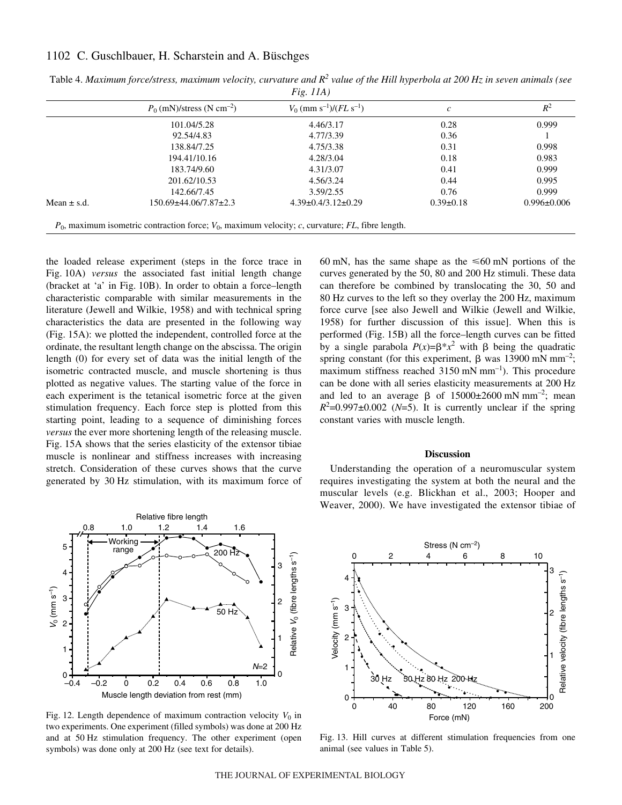# 1102 C. Guschlbauer, H. Scharstein and A. Büschges

|                 | $P_0$ (mN)/stress (N cm <sup>-2</sup> ) | $V_0$ (mm s <sup>-1</sup> )/( $FL$ s <sup>-1</sup> ) | $\mathcal{C}$   | $R^2$             |
|-----------------|-----------------------------------------|------------------------------------------------------|-----------------|-------------------|
|                 | 101.04/5.28                             | 4.46/3.17                                            | 0.28            | 0.999             |
|                 | 92.54/4.83                              | 4.77/3.39                                            | 0.36            |                   |
|                 | 138.84/7.25                             | 4.75/3.38                                            | 0.31            | 0.998             |
|                 | 194.41/10.16                            | 4.28/3.04                                            | 0.18            | 0.983             |
|                 | 183.74/9.60                             | 4.31/3.07                                            | 0.41            | 0.999             |
|                 | 201.62/10.53                            | 4.56/3.24                                            | 0.44            | 0.995             |
|                 | 142.66/7.45                             | 3.59/2.55                                            | 0.76            | 0.999             |
| Mean $\pm$ s.d. | 150.69±44.06/7.87±2.3                   | $4.39\pm0.4/3.12\pm0.29$                             | $0.39 \pm 0.18$ | $0.996 \pm 0.006$ |

Table 4. *Maximum force/stress, maximum velocity, curvature and*  $R^2$  *value of the Hill hyperbola at 200 Hz in seven animals (see Fig.·11A)*

the loaded release experiment (steps in the force trace in Fig. 10A) *versus* the associated fast initial length change (bracket at 'a' in Fig. 10B). In order to obtain a force–length characteristic comparable with similar measurements in the literature (Jewell and Wilkie, 1958) and with technical spring characteristics the data are presented in the following way (Fig. 15A): we plotted the independent, controlled force at the ordinate, the resultant length change on the abscissa. The origin length (0) for every set of data was the initial length of the isometric contracted muscle, and muscle shortening is thus plotted as negative values. The starting value of the force in each experiment is the tetanical isometric force at the given stimulation frequency. Each force step is plotted from this starting point, leading to a sequence of diminishing forces *versus* the ever more shortening length of the releasing muscle. Fig. 15A shows that the series elasticity of the extensor tibiae muscle is nonlinear and stiffness increases with increasing stretch. Consideration of these curves shows that the curve generated by 30 Hz stimulation, with its maximum force of



Fig. 12. Length dependence of maximum contraction velocity  $V_0$  in two experiments. One experiment (filled symbols) was done at 200 Hz and at 50 Hz stimulation frequency. The other experiment (open symbols) was done only at 200 Hz (see text for details).

60 mN, has the same shape as the  $\leq 60$  mN portions of the curves generated by the 50, 80 and 200 Hz stimuli. These data can therefore be combined by translocating the 30, 50 and 80 Hz curves to the left so they overlay the 200 Hz, maximum force curve [see also Jewell and Wilkie (Jewell and Wilkie, 1958) for further discussion of this issue]. When this is performed (Fig. 15B) all the force–length curves can be fitted by a single parabola  $P(x)=\beta^*x^2$  with  $\beta$  being the quadratic spring constant (for this experiment,  $\beta$  was 13900 mN mm<sup>-2</sup>; maximum stiffness reached  $3150$  mN mm<sup>-1</sup>). This procedure can be done with all series elasticity measurements at 200 Hz and led to an average  $\beta$  of 15000±2600 mN mm<sup>-2</sup>; mean  $R^2$ =0.997±0.002 (*N*=5). It is currently unclear if the spring constant varies with muscle length.

#### **Discussion**

Understanding the operation of a neuromuscular system requires investigating the system at both the neural and the muscular levels (e.g. Blickhan et al., 2003; Hooper and Weaver, 2000). We have investigated the extensor tibiae of



Fig. 13. Hill curves at different stimulation frequencies from one animal (see values in Table 5).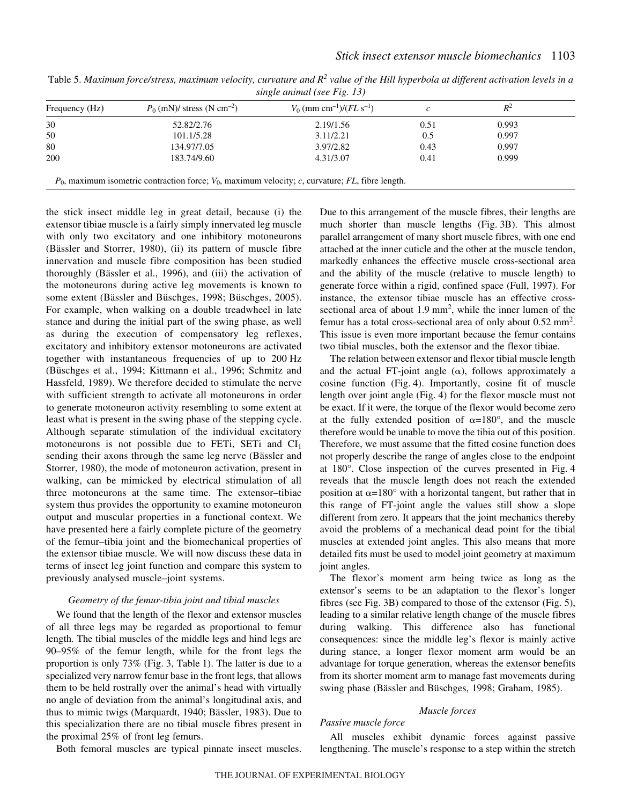| Frequency (Hz) | $P_0$ (mN)/ stress (N cm <sup>-2</sup> ) | $V_0$ (mm cm <sup>-1</sup> )/( $FL$ s <sup>-1</sup> ) |      |       |
|----------------|------------------------------------------|-------------------------------------------------------|------|-------|
| 30             | 52.82/2.76                               | 2.19/1.56                                             | 0.51 | 0.993 |
| 50             | 101.1/5.28                               | 3.11/2.21                                             | 0.5  | 0.997 |
| 80             | 134.97/7.05                              | 3.97/2.82                                             | 0.43 | 0.997 |
| 200            | 183.74/9.60                              | 4.31/3.07                                             | 0.41 | 0.999 |

Table 5. Maximum force/stress, maximum velocity, curvature and  $R^2$  value of the Hill hyperbola at different activation levels in a *single animal (see Fig. 13)* 

the stick insect middle leg in great detail, because (i) the extensor tibiae muscle is a fairly simply innervated leg muscle with only two excitatory and one inhibitory motoneurons (Bässler and Storrer, 1980), (ii) its pattern of muscle fibre innervation and muscle fibre composition has been studied thoroughly (Bässler et al., 1996), and (iii) the activation of the motoneurons during active leg movements is known to some extent (Bässler and Büschges, 1998; Büschges, 2005). For example, when walking on a double treadwheel in late stance and during the initial part of the swing phase, as well as during the execution of compensatory leg reflexes, excitatory and inhibitory extensor motoneurons are activated together with instantaneous frequencies of up to 200 Hz (Büschges et al., 1994; Kittmann et al., 1996; Schmitz and Hassfeld, 1989). We therefore decided to stimulate the nerve with sufficient strength to activate all motoneurons in order to generate motoneuron activity resembling to some extent at least what is present in the swing phase of the stepping cycle. Although separate stimulation of the individual excitatory motoneurons is not possible due to FETi, SETi and  $CI<sub>1</sub>$ sending their axons through the same leg nerve (Bässler and Storrer, 1980), the mode of motoneuron activation, present in walking, can be mimicked by electrical stimulation of all three motoneurons at the same time. The extensor–tibiae system thus provides the opportunity to examine motoneuron output and muscular properties in a functional context. We have presented here a fairly complete picture of the geometry of the femur–tibia joint and the biomechanical properties of the extensor tibiae muscle. We will now discuss these data in terms of insect leg joint function and compare this system to previously analysed muscle–joint systems.

#### *Geometry of the femur-tibia joint and tibial muscles*

We found that the length of the flexor and extensor muscles of all three legs may be regarded as proportional to femur length. The tibial muscles of the middle legs and hind legs are 90–95% of the femur length, while for the front legs the proportion is only  $73\%$  (Fig. 3, Table 1). The latter is due to a specialized very narrow femur base in the front legs, that allows them to be held rostrally over the animal's head with virtually no angle of deviation from the animal's longitudinal axis, and thus to mimic twigs (Marquardt, 1940; Bässler, 1983). Due to this specialization there are no tibial muscle fibres present in the proximal 25% of front leg femurs.

Both femoral muscles are typical pinnate insect muscles.

Due to this arrangement of the muscle fibres, their lengths are much shorter than muscle lengths (Fig. 3B). This almost parallel arrangement of many short muscle fibres, with one end attached at the inner cuticle and the other at the muscle tendon, markedly enhances the effective muscle cross-sectional area and the ability of the muscle (relative to muscle length) to generate force within a rigid, confined space (Full, 1997). For instance, the extensor tibiae muscle has an effective crosssectional area of about  $1.9~\text{mm}^2$ , while the inner lumen of the femur has a total cross-sectional area of only about  $0.52$  mm<sup>2</sup>. This issue is even more important because the femur contains two tibial muscles, both the extensor and the flexor tibiae.

The relation between extensor and flexor tibial muscle length and the actual FT-joint angle  $(\alpha)$ , follows approximately a cosine function (Fig. 4). Importantly, cosine fit of muscle length over joint angle (Fig. 4) for the flexor muscle must not be exact. If it were, the torque of the flexor would become zero at the fully extended position of  $\alpha=180^\circ$ , and the muscle therefore would be unable to move the tibia out of this position. Therefore, we must assume that the fitted cosine function does not properly describe the range of angles close to the endpoint at  $180^\circ$ . Close inspection of the curves presented in Fig. 4 reveals that the muscle length does not reach the extended position at  $\alpha$ =180° with a horizontal tangent, but rather that in this range of FT-joint angle the values still show a slope different from zero. It appears that the joint mechanics thereby avoid the problems of a mechanical dead point for the tibial muscles at extended joint angles. This also means that more detailed fits must be used to model joint geometry at maximum joint angles.

The flexor's moment arm being twice as long as the extensor's seems to be an adaptation to the flexor's longer fibres (see Fig. 3B) compared to those of the extensor (Fig. 5), leading to a similar relative length change of the muscle fibres during walking. This difference also has functional consequences: since the middle leg's flexor is mainly active during stance, a longer flexor moment arm would be an advantage for torque generation, whereas the extensor benefits from its shorter moment arm to manage fast movements during swing phase (Bässler and Büschges, 1998; Graham, 1985).

#### *Muscle forces*

All muscles exhibit dynamic forces against passive lengthening. The muscle's response to a step within the stretch

*Passive muscle force*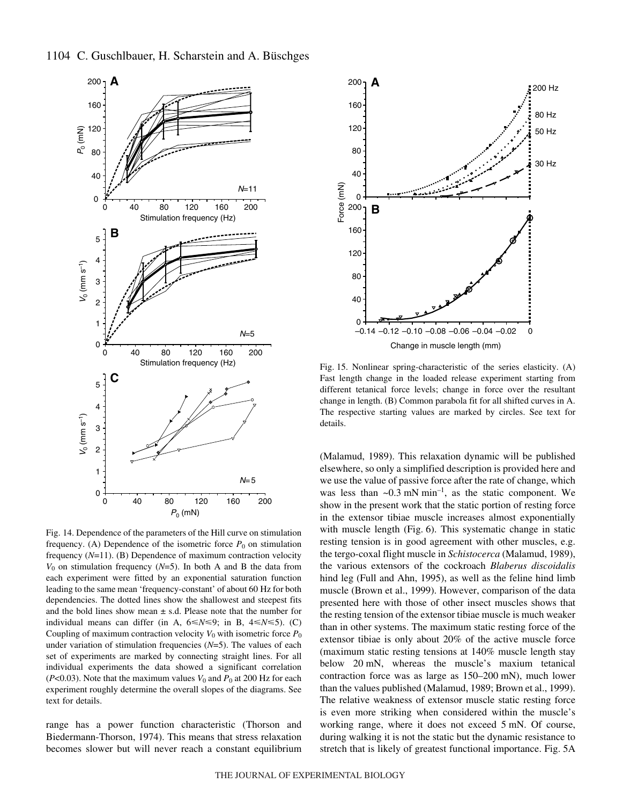



Fig. 14. Dependence of the parameters of the Hill curve on stimulation frequency. (A) Dependence of the isometric force  $P_0$  on stimulation frequency (*N*=11). (B) Dependence of maximum contraction velocity  $V_0$  on stimulation frequency ( $N=5$ ). In both A and B the data from each experiment were fitted by an exponential saturation function leading to the same mean 'frequency-constant' of about 60 Hz for both dependencies. The dotted lines show the shallowest and steepest fits and the bold lines show mean  $\pm$  s.d. Please note that the number for individual means can differ (in A,  $6 \le N \le 9$ ; in B,  $4 \le N \le 5$ ). (C) Coupling of maximum contraction velocity  $V_0$  with isometric force  $P_0$ under variation of stimulation frequencies (*N*=5). The values of each set of experiments are marked by connecting straight lines. For all individual experiments the data showed a significant correlation ( $P<0.03$ ). Note that the maximum values  $V_0$  and  $P_0$  at 200 Hz for each experiment roughly determine the overall slopes of the diagrams. See text for details.

range has a power function characteristic (Thorson and Biedermann-Thorson, 1974). This means that stress relaxation becomes slower but will never reach a constant equilibrium



Fig. 15. Nonlinear spring-characteristic of the series elasticity. (A) Fast length change in the loaded release experiment starting from different tetanical force levels; change in force over the resultant change in length. (B) Common parabola fit for all shifted curves in A. The respective starting values are marked by circles. See text for details.

(Malamud, 1989). This relaxation dynamic will be published elsewhere, so only a simplified description is provided here and we use the value of passive force after the rate of change, which was less than  $\sim 0.3$  mN min<sup>-1</sup>, as the static component. We show in the present work that the static portion of resting force in the extensor tibiae muscle increases almost exponentially with muscle length (Fig. 6). This systematic change in static resting tension is in good agreement with other muscles, e.g. the tergo-coxal flight muscle in *Schistocerca* (Malamud, 1989), the various extensors of the cockroach *Blaberus discoidalis* hind leg (Full and Ahn, 1995), as well as the feline hind limb muscle (Brown et al., 1999). However, comparison of the data presented here with those of other insect muscles shows that the resting tension of the extensor tibiae muscle is much weaker than in other systems. The maximum static resting force of the extensor tibiae is only about 20% of the active muscle force (maximum static resting tensions at 140% muscle length stay below 20 mN, whereas the muscle's maxium tetanical contraction force was as large as  $150-200$  mN), much lower than the values published (Malamud, 1989; Brown et al., 1999). The relative weakness of extensor muscle static resting force is even more striking when considered within the muscle's working range, where it does not exceed 5 mN. Of course, during walking it is not the static but the dynamic resistance to stretch that is likely of greatest functional importance. Fig. 5A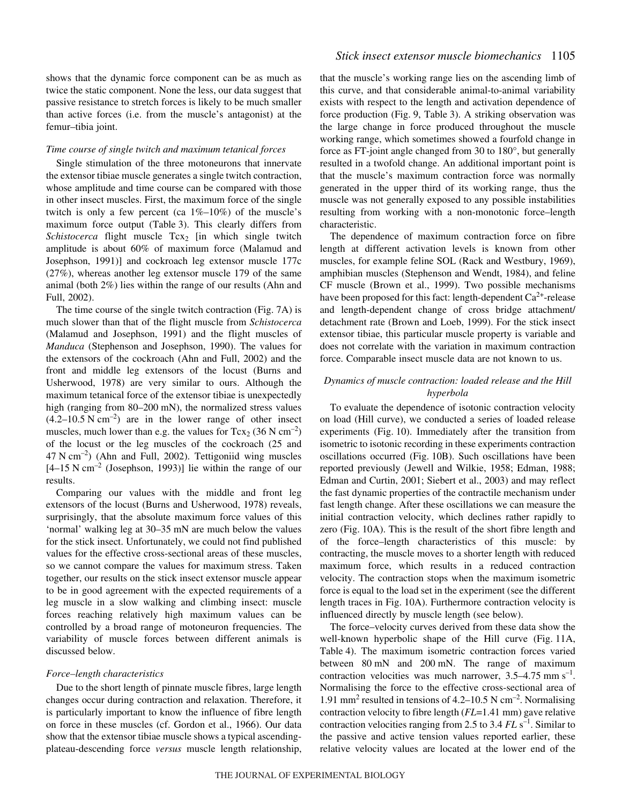shows that the dynamic force component can be as much as twice the static component. None the less, our data suggest that passive resistance to stretch forces is likely to be much smaller than active forces (i.e. from the muscle's antagonist) at the femur–tibia joint.

#### *Time course of single twitch and maximum tetanical forces*

Single stimulation of the three motoneurons that innervate the extensor tibiae muscle generates a single twitch contraction, whose amplitude and time course can be compared with those in other insect muscles. First, the maximum force of the single twitch is only a few percent (ca  $1\%$ – $10\%$ ) of the muscle's maximum force output (Table 3). This clearly differs from *Schistocerca* flight muscle Tcx<sub>2</sub> [in which single twitch amplitude is about 60% of maximum force (Malamud and Josephson, 1991)] and cockroach leg extensor muscle 177c (27%), whereas another leg extensor muscle 179 of the same animal (both 2%) lies within the range of our results (Ahn and Full, 2002).

The time course of the single twitch contraction (Fig.  $7A$ ) is much slower than that of the flight muscle from *Schistocerca* (Malamud and Josephson, 1991) and the flight muscles of *Manduca* (Stephenson and Josephson, 1990). The values for the extensors of the cockroach (Ahn and Full, 2002) and the front and middle leg extensors of the locust (Burns and Usherwood, 1978) are very similar to ours. Although the maximum tetanical force of the extensor tibiae is unexpectedly high (ranging from 80–200 mN), the normalized stress values  $(4.2-10.5 \text{ N cm}^{-2})$  are in the lower range of other insect muscles, much lower than e.g. the values for  $Tcx_2$  (36 N cm<sup>-2</sup>) of the locust or the leg muscles of the cockroach (25 and  $47$  N cm<sup>-2</sup>) (Ahn and Full, 2002). Tettigoniid wing muscles  $[4–15 N cm<sup>-2</sup>$  (Josephson, 1993)] lie within the range of our results.

Comparing our values with the middle and front leg extensors of the locust (Burns and Usherwood, 1978) reveals, surprisingly, that the absolute maximum force values of this 'normal' walking leg at 30–35 mN are much below the values for the stick insect. Unfortunately, we could not find published values for the effective cross-sectional areas of these muscles, so we cannot compare the values for maximum stress. Taken together, our results on the stick insect extensor muscle appear to be in good agreement with the expected requirements of a leg muscle in a slow walking and climbing insect: muscle forces reaching relatively high maximum values can be controlled by a broad range of motoneuron frequencies. The variability of muscle forces between different animals is discussed below.

#### *Force–length characteristics*

Due to the short length of pinnate muscle fibres, large length changes occur during contraction and relaxation. Therefore, it is particularly important to know the influence of fibre length on force in these muscles (cf. Gordon et al., 1966). Our data show that the extensor tibiae muscle shows a typical ascendingplateau-descending force *versus* muscle length relationship, that the muscle's working range lies on the ascending limb of this curve, and that considerable animal-to-animal variability exists with respect to the length and activation dependence of force production (Fig. 9, Table 3). A striking observation was the large change in force produced throughout the muscle working range, which sometimes showed a fourfold change in force as FT-joint angle changed from 30 to 180°, but generally resulted in a twofold change. An additional important point is that the muscle's maximum contraction force was normally generated in the upper third of its working range, thus the muscle was not generally exposed to any possible instabilities resulting from working with a non-monotonic force–length characteristic.

The dependence of maximum contraction force on fibre length at different activation levels is known from other muscles, for example feline SOL (Rack and Westbury, 1969), amphibian muscles (Stephenson and Wendt, 1984), and feline CF muscle (Brown et al., 1999). Two possible mechanisms have been proposed for this fact: length-dependent  $Ca^{2+}$ -release and length-dependent change of cross bridge attachment/ detachment rate (Brown and Loeb, 1999). For the stick insect extensor tibiae, this particular muscle property is variable and does not correlate with the variation in maximum contraction force. Comparable insect muscle data are not known to us.

## *Dynamics of muscle contraction: loaded release and the Hill hyperbola*

To evaluate the dependence of isotonic contraction velocity on load (Hill curve), we conducted a series of loaded release experiments (Fig. 10). Immediately after the transition from isometric to isotonic recording in these experiments contraction oscillations occurred (Fig. 10B). Such oscillations have been reported previously (Jewell and Wilkie, 1958; Edman, 1988; Edman and Curtin, 2001; Siebert et al., 2003) and may reflect the fast dynamic properties of the contractile mechanism under fast length change. After these oscillations we can measure the initial contraction velocity, which declines rather rapidly to zero (Fig. 10A). This is the result of the short fibre length and of the force–length characteristics of this muscle: by contracting, the muscle moves to a shorter length with reduced maximum force, which results in a reduced contraction velocity. The contraction stops when the maximum isometric force is equal to the load set in the experiment (see the different length traces in Fig. 10A). Furthermore contraction velocity is influenced directly by muscle length (see below).

The force–velocity curves derived from these data show the well-known hyperbolic shape of the Hill curve (Fig. 11A, Table 4). The maximum isometric contraction forces varied between 80 mN and 200 mN. The range of maximum contraction velocities was much narrower,  $3.5-4.75$  mm s<sup>-1</sup>. Normalising the force to the effective cross-sectional area of 1.91 mm<sup>2</sup> resulted in tensions of 4.2–10.5 N cm<sup>-2</sup>. Normalising contraction velocity to fibre length ( $FL=1.41$  mm) gave relative contraction velocities ranging from 2.5 to 3.4 *FL* s<sup>-1</sup>. Similar to the passive and active tension values reported earlier, these relative velocity values are located at the lower end of the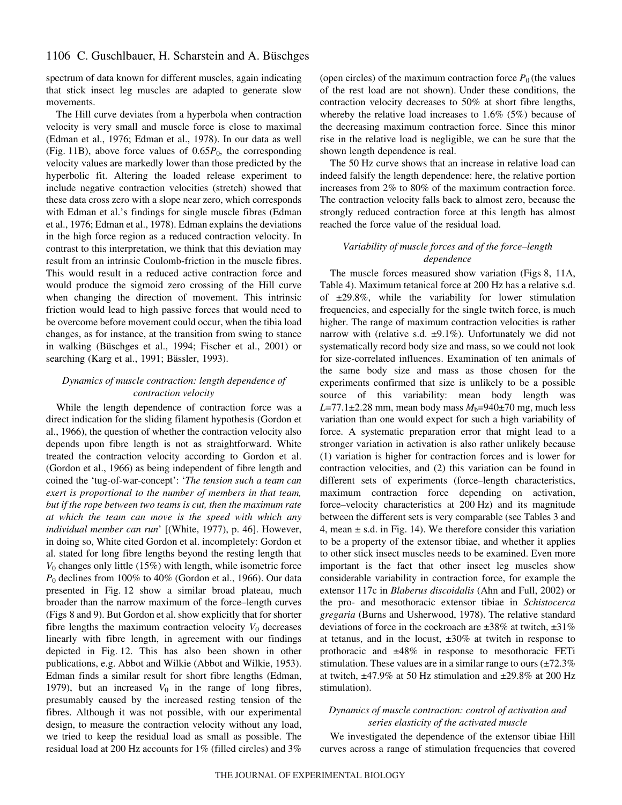spectrum of data known for different muscles, again indicating that stick insect leg muscles are adapted to generate slow movements.

The Hill curve deviates from a hyperbola when contraction velocity is very small and muscle force is close to maximal (Edman et al., 1976; Edman et al., 1978). In our data as well (Fig. 11B), above force values of  $0.65P_0$ , the corresponding velocity values are markedly lower than those predicted by the hyperbolic fit. Altering the loaded release experiment to include negative contraction velocities (stretch) showed that these data cross zero with a slope near zero, which corresponds with Edman et al.'s findings for single muscle fibres (Edman et al., 1976; Edman et al., 1978). Edman explains the deviations in the high force region as a reduced contraction velocity. In contrast to this interpretation, we think that this deviation may result from an intrinsic Coulomb-friction in the muscle fibres. This would result in a reduced active contraction force and would produce the sigmoid zero crossing of the Hill curve when changing the direction of movement. This intrinsic friction would lead to high passive forces that would need to be overcome before movement could occur, when the tibia load changes, as for instance, at the transition from swing to stance in walking (Büschges et al., 1994; Fischer et al., 2001) or searching (Karg et al., 1991; Bässler, 1993).

# *Dynamics of muscle contraction: length dependence of contraction velocity*

While the length dependence of contraction force was a direct indication for the sliding filament hypothesis (Gordon et al., 1966), the question of whether the contraction velocity also depends upon fibre length is not as straightforward. White treated the contraction velocity according to Gordon et al. (Gordon et al., 1966) as being independent of fibre length and coined the 'tug-of-war-concept': '*The tension such a team can exert is proportional to the number of members in that team, but if the rope between two teams is cut, then the maximum rate at which the team can move is the speed with which any individual member can run*' [(White, 1977), p. 46]. However, in doing so, White cited Gordon et al. incompletely: Gordon et al. stated for long fibre lengths beyond the resting length that *V*<sup>0</sup> changes only little (15%) with length, while isometric force *P*<sup>0</sup> declines from 100% to 40% (Gordon et al., 1966). Our data presented in Fig. 12 show a similar broad plateau, much broader than the narrow maximum of the force–length curves (Figs·8 and 9). But Gordon et al. show explicitly that for shorter fibre lengths the maximum contraction velocity  $V_0$  decreases linearly with fibre length, in agreement with our findings depicted in Fig. 12. This has also been shown in other publications, e.g. Abbot and Wilkie (Abbot and Wilkie, 1953). Edman finds a similar result for short fibre lengths (Edman, 1979), but an increased  $V_0$  in the range of long fibres, presumably caused by the increased resting tension of the fibres. Although it was not possible, with our experimental design, to measure the contraction velocity without any load, we tried to keep the residual load as small as possible. The residual load at 200 Hz accounts for  $1\%$  (filled circles) and  $3\%$  (open circles) of the maximum contraction force  $P_0$  (the values of the rest load are not shown). Under these conditions, the contraction velocity decreases to 50% at short fibre lengths, whereby the relative load increases to 1.6% (5%) because of the decreasing maximum contraction force. Since this minor rise in the relative load is negligible, we can be sure that the shown length dependence is real.

The 50 Hz curve shows that an increase in relative load can indeed falsify the length dependence: here, the relative portion increases from 2% to 80% of the maximum contraction force. The contraction velocity falls back to almost zero, because the strongly reduced contraction force at this length has almost reached the force value of the residual load.

## *Variability of muscle forces and of the force–length dependence*

The muscle forces measured show variation (Figs 8, 11A, Table 4). Maximum tetanical force at 200 Hz has a relative s.d. of  $\pm 29.8\%$ , while the variability for lower stimulation frequencies, and especially for the single twitch force, is much higher. The range of maximum contraction velocities is rather narrow with (relative s.d.  $\pm 9.1\%$ ). Unfortunately we did not systematically record body size and mass, so we could not look for size-correlated influences. Examination of ten animals of the same body size and mass as those chosen for the experiments confirmed that size is unlikely to be a possible source of this variability: mean body length was  $L=77.1\pm2.28$  mm, mean body mass  $M_b=940\pm70$  mg, much less variation than one would expect for such a high variability of force. A systematic preparation error that might lead to a stronger variation in activation is also rather unlikely because (1) variation is higher for contraction forces and is lower for contraction velocities, and (2) this variation can be found in different sets of experiments (force–length characteristics, maximum contraction force depending on activation, force–velocity characteristics at 200 Hz) and its magnitude between the different sets is very comparable (see Tables 3 and 4, mean  $\pm$  s.d. in Fig. 14). We therefore consider this variation to be a property of the extensor tibiae, and whether it applies to other stick insect muscles needs to be examined. Even more important is the fact that other insect leg muscles show considerable variability in contraction force, for example the extensor 117c in *Blaberus discoidalis* (Ahn and Full, 2002) or the pro- and mesothoracic extensor tibiae in *Schistocerca gregaria* (Burns and Usherwood, 1978). The relative standard deviations of force in the cockroach are  $\pm 38\%$  at twitch,  $\pm 31\%$ at tetanus, and in the locust,  $\pm 30\%$  at twitch in response to prothoracic and ±48% in response to mesothoracic FETi stimulation. These values are in a similar range to ours  $(\pm 72.3\%)$ at twitch,  $\pm$ 47.9% at 50 Hz stimulation and  $\pm$ 29.8% at 200 Hz stimulation).

## *Dynamics of muscle contraction: control of activation and series elasticity of the activated muscle*

We investigated the dependence of the extensor tibiae Hill curves across a range of stimulation frequencies that covered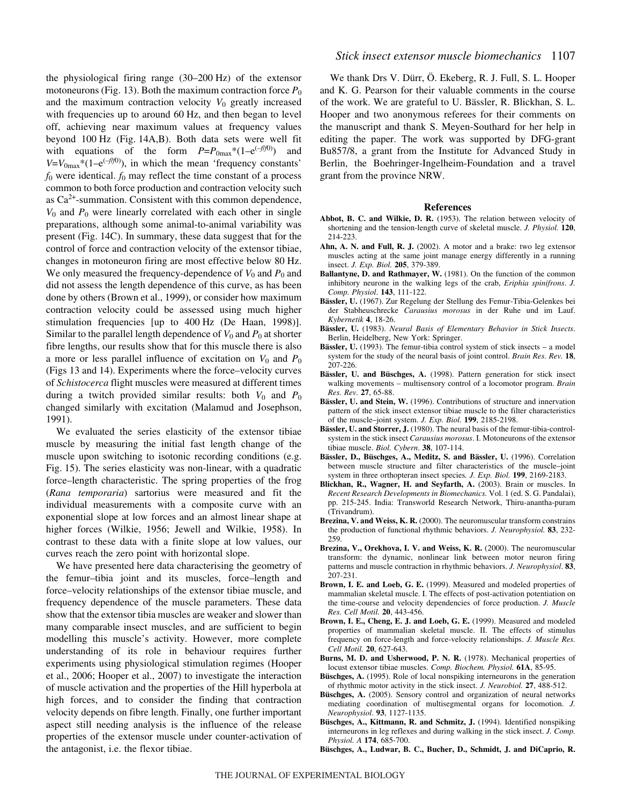the physiological firing range  $(30–200~\text{Hz})$  of the extensor motoneurons (Fig. 13). Both the maximum contraction force  $P_0$ and the maximum contraction velocity  $V_0$  greatly increased with frequencies up to around 60 Hz, and then began to level off, achieving near maximum values at frequency values beyond 100 Hz (Fig. 14A,B). Both data sets were well fit with equations of the form  $P=P_{0max}*(1-e^{(-f/f0)})$  and  $V=V_{0\text{max}}*(1-e^{(-f/f0)})$ , in which the mean 'frequency constants'  $f_0$  were identical.  $f_0$  may reflect the time constant of a process common to both force production and contraction velocity such as  $Ca<sup>2+</sup>$ -summation. Consistent with this common dependence,  $V_0$  and  $P_0$  were linearly correlated with each other in single preparations, although some animal-to-animal variability was present (Fig. 14C). In summary, these data suggest that for the control of force and contraction velocity of the extensor tibiae, changes in motoneuron firing are most effective below 80 Hz. We only measured the frequency-dependence of  $V_0$  and  $P_0$  and did not assess the length dependence of this curve, as has been done by others (Brown et al., 1999), or consider how maximum contraction velocity could be assessed using much higher stimulation frequencies [up to 400 Hz (De Haan, 1998)]. Similar to the parallel length dependence of  $V_0$  and  $P_0$  at shorter fibre lengths, our results show that for this muscle there is also a more or less parallel influence of excitation on  $V_0$  and  $P_0$ (Figs·13 and 14). Experiments where the force–velocity curves of *Schistocerca* flight muscles were measured at different times during a twitch provided similar results: both  $V_0$  and  $P_0$ changed similarly with excitation (Malamud and Josephson, 1991).

We evaluated the series elasticity of the extensor tibiae muscle by measuring the initial fast length change of the muscle upon switching to isotonic recording conditions (e.g. Fig. 15). The series elasticity was non-linear, with a quadratic force–length characteristic. The spring properties of the frog (*Rana temporaria*) sartorius were measured and fit the individual measurements with a composite curve with an exponential slope at low forces and an almost linear shape at higher forces (Wilkie, 1956; Jewell and Wilkie, 1958). In contrast to these data with a finite slope at low values, our curves reach the zero point with horizontal slope.

We have presented here data characterising the geometry of the femur–tibia joint and its muscles, force–length and force–velocity relationships of the extensor tibiae muscle, and frequency dependence of the muscle parameters. These data show that the extensor tibia muscles are weaker and slower than many comparable insect muscles, and are sufficient to begin modelling this muscle's activity. However, more complete understanding of its role in behaviour requires further experiments using physiological stimulation regimes (Hooper et al., 2006; Hooper et al., 2007) to investigate the interaction of muscle activation and the properties of the Hill hyperbola at high forces, and to consider the finding that contraction velocity depends on fibre length. Finally, one further important aspect still needing analysis is the influence of the release properties of the extensor muscle under counter-activation of the antagonist, i.e. the flexor tibiae.

We thank Drs V. Dürr, Ö. Ekeberg, R. J. Full, S. L. Hooper and K. G. Pearson for their valuable comments in the course of the work. We are grateful to U. Bässler, R. Blickhan, S. L. Hooper and two anonymous referees for their comments on the manuscript and thank S. Meyen-Southard for her help in editing the paper. The work was supported by DFG-grant Bu857/8, a grant from the Institute for Advanced Study in Berlin, the Boehringer-Ingelheim-Foundation and a travel grant from the province NRW.

#### **References**

- **Abbot, B. C. and Wilkie, D. R.** (1953). The relation between velocity of shortening and the tension-length curve of skeletal muscle. *J. Physiol.* **120**, 214-223.
- **Ahn, A. N. and Full, R. J.** (2002). A motor and a brake: two leg extensor muscles acting at the same joint manage energy differently in a running insect. *J. Exp. Biol.* **205**, 379-389.
- **Ballantyne, D. and Rathmayer, W.** (1981). On the function of the common inhibitory neurone in the walking legs of the crab, *Eriphia spinifrons*. *J. Comp. Physiol*. **143**, 111-122.
- **Bässler, U.** (1967). Zur Regelung der Stellung des Femur-Tibia-Gelenkes bei der Stabheuschrecke *Carausius morosus* in der Ruhe und im Lauf. *Kybernetik* **4**, 18-26.
- **Bässler, U.** (1983). *Neural Basis of Elementary Behavior in Stick Insects*. Berlin, Heidelberg, New York: Springer.
- **Bässler, U.** (1993). The femur-tibia control system of stick insects a model system for the study of the neural basis of joint control. *Brain Res. Rev.* **18**, 207-226.
- **Bässler, U. and Büschges, A.** (1998). Pattern generation for stick insect walking movements – multisensory control of a locomotor program. *Brain Res. Rev.* **27**, 65-88.
- **Bässler, U. and Stein, W.** (1996). Contributions of structure and innervation pattern of the stick insect extensor tibiae muscle to the filter characteristics of the muscle–joint system. *J. Exp. Biol.* **199**, 2185-2198.
- **Bässler, U. and Storrer, J.** (1980). The neural basis of the femur-tibia-controlsystem in the stick insect *Carausius morosus*. I. Motoneurons of the extensor tibiae muscle. *Biol. Cybern*. **38**, 107-114.
- **Bässler, D., Büschges, A., Meditz, S. and Bässler, U.** (1996). Correlation between muscle structure and filter characteristics of the muscle–joint system in three orthopteran insect species*. J. Exp. Biol.* **199**, 2169-2183.
- **Blickhan, R., Wagner, H. and Seyfarth, A.** (2003). Brain or muscles. In *Recent Research Developments in Biomechanics.* Vol. 1 (ed. S. G. Pandalai), pp. 215-245. India: Transworld Research Network, Thiru-anantha-puram (Trivandrum).
- **Brezina, V. and Weiss, K. R.** (2000). The neuromuscular transform constrains the production of functional rhythmic behaviors. *J. Neurophysiol.* **83**, 232- 259.
- **Brezina, V., Orekhova, I. V. and Weiss, K. R.** (2000). The neuromuscular transform: the dynamic, nonlinear link between motor neuron firing patterns and muscle contraction in rhythmic behaviors. *J. Neurophysiol*. **83**, 207-231.
- **Brown, I. E. and Loeb, G. E.** (1999). Measured and modeled properties of mammalian skeletal muscle. I. The effects of post-activation potentiation on the time-course and velocity dependencies of force production. *J. Muscle Res. Cell Motil.* **20**, 443-456.
- **Brown, I. E., Cheng, E. J. and Loeb, G. E.** (1999). Measured and modeled properties of mammalian skeletal muscle. II. The effects of stimulus frequency on force-length and force-velocity relationships. *J. Muscle Res. Cell Motil.* **20**, 627-643.
- **Burns, M. D. and Usherwood, P. N. R.** (1978). Mechanical properties of locust extensor tibiae muscles. *Comp. Biochem. Physiol.* **61A**, 85-95.
- **Büschges, A.** (1995). Role of local nonspiking interneurons in the generation of rhythmic motor activity in the stick insect. *J. Neurobiol.* **27**, 488-512.
- **Büschges, A.** (2005). Sensory control and organization of neural networks mediating coordination of multisegmental organs for locomotion. *J. Neurophysiol*. **93**, 1127-1135.
- **Büschges, A., Kittmann, R. and Schmitz, J.** (1994). Identified nonspiking interneurons in leg reflexes and during walking in the stick insect. *J. Comp. Physiol. A* **174**, 685-700.

**Büschges, A., Ludwar, B. C., Bucher, D., Schmidt, J. and DiCaprio, R.**